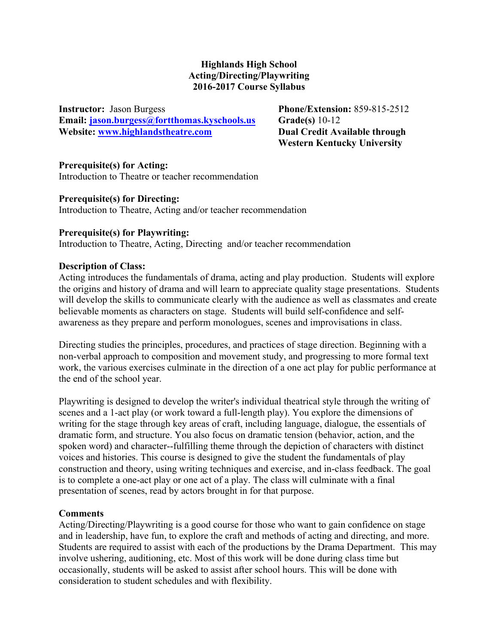## **Highlands High School Acting/Directing/Playwriting 2016-2017 Course Syllabus**

**Instructor:** Jason Burgess **Phone/Extension:** 859-815-2512 **Email: jason.burgess@fortthomas.kyschools.us Grade(s)** 10-12 **Website: www.highlandstheatre.com Dual Credit Available through** 

 **Western Kentucky University**

## **Prerequisite(s) for Acting:**

Introduction to Theatre or teacher recommendation

#### **Prerequisite(s) for Directing:**

Introduction to Theatre, Acting and/or teacher recommendation

#### **Prerequisite(s) for Playwriting:**

Introduction to Theatre, Acting, Directing and/or teacher recommendation

#### **Description of Class:**

Acting introduces the fundamentals of drama, acting and play production. Students will explore the origins and history of drama and will learn to appreciate quality stage presentations. Students will develop the skills to communicate clearly with the audience as well as classmates and create believable moments as characters on stage. Students will build self-confidence and selfawareness as they prepare and perform monologues, scenes and improvisations in class.

Directing studies the principles, procedures, and practices of stage direction. Beginning with a non-verbal approach to composition and movement study, and progressing to more formal text work, the various exercises culminate in the direction of a one act play for public performance at the end of the school year.

Playwriting is designed to develop the writer's individual theatrical style through the writing of scenes and a 1-act play (or work toward a full-length play). You explore the dimensions of writing for the stage through key areas of craft, including language, dialogue, the essentials of dramatic form, and structure. You also focus on dramatic tension (behavior, action, and the spoken word) and character--fulfilling theme through the depiction of characters with distinct voices and histories. This course is designed to give the student the fundamentals of play construction and theory, using writing techniques and exercise, and in-class feedback. The goal is to complete a one-act play or one act of a play. The class will culminate with a final presentation of scenes, read by actors brought in for that purpose.

#### **Comments**

Acting/Directing/Playwriting is a good course for those who want to gain confidence on stage and in leadership, have fun, to explore the craft and methods of acting and directing, and more. Students are required to assist with each of the productions by the Drama Department. This may involve ushering, auditioning, etc. Most of this work will be done during class time but occasionally, students will be asked to assist after school hours. This will be done with consideration to student schedules and with flexibility.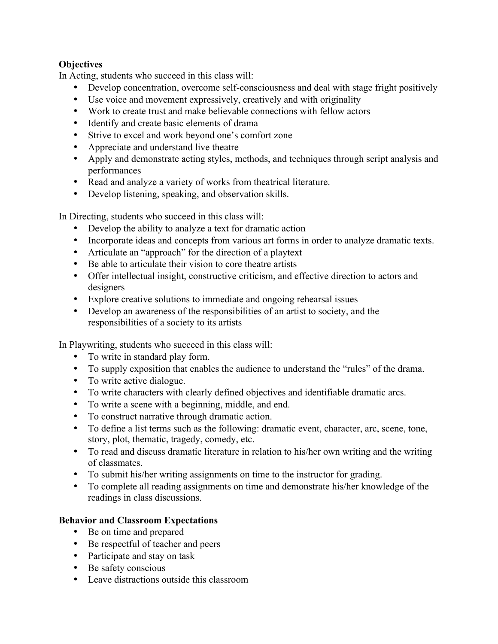# **Objectives**

In Acting, students who succeed in this class will:

- Develop concentration, overcome self-consciousness and deal with stage fright positively
- Use voice and movement expressively, creatively and with originality
- Work to create trust and make believable connections with fellow actors
- Identify and create basic elements of drama
- Strive to excel and work beyond one's comfort zone
- Appreciate and understand live theatre
- Apply and demonstrate acting styles, methods, and techniques through script analysis and performances
- Read and analyze a variety of works from theatrical literature.
- Develop listening, speaking, and observation skills.

In Directing, students who succeed in this class will:

- Develop the ability to analyze a text for dramatic action
- Incorporate ideas and concepts from various art forms in order to analyze dramatic texts.
- Articulate an "approach" for the direction of a playtext
- Be able to articulate their vision to core theatre artists
- Offer intellectual insight, constructive criticism, and effective direction to actors and designers
- Explore creative solutions to immediate and ongoing rehearsal issues
- Develop an awareness of the responsibilities of an artist to society, and the responsibilities of a society to its artists

In Playwriting, students who succeed in this class will:

- To write in standard play form.
- To supply exposition that enables the audience to understand the "rules" of the drama.
- To write active dialogue.
- To write characters with clearly defined objectives and identifiable dramatic arcs.
- To write a scene with a beginning, middle, and end.
- To construct narrative through dramatic action.
- To define a list terms such as the following: dramatic event, character, arc, scene, tone, story, plot, thematic, tragedy, comedy, etc.
- To read and discuss dramatic literature in relation to his/her own writing and the writing of classmates.
- To submit his/her writing assignments on time to the instructor for grading.
- To complete all reading assignments on time and demonstrate his/her knowledge of the readings in class discussions.

## **Behavior and Classroom Expectations**

- Be on time and prepared
- Be respectful of teacher and peers
- Participate and stay on task
- Be safety conscious
- Leave distractions outside this classroom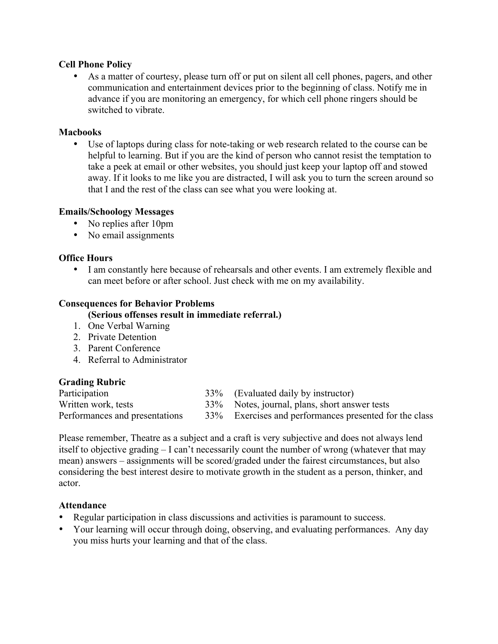#### **Cell Phone Policy**

• As a matter of courtesy, please turn off or put on silent all cell phones, pagers, and other communication and entertainment devices prior to the beginning of class. Notify me in advance if you are monitoring an emergency, for which cell phone ringers should be switched to vibrate.

#### **Macbooks**

• Use of laptops during class for note-taking or web research related to the course can be helpful to learning. But if you are the kind of person who cannot resist the temptation to take a peek at email or other websites, you should just keep your laptop off and stowed away. If it looks to me like you are distracted, I will ask you to turn the screen around so that I and the rest of the class can see what you were looking at.

## **Emails/Schoology Messages**

- No replies after 10pm
- No email assignments

#### **Office Hours**

• I am constantly here because of rehearsals and other events. I am extremely flexible and can meet before or after school. Just check with me on my availability.

#### **Consequences for Behavior Problems**

#### **(Serious offenses result in immediate referral.)**

- 1. One Verbal Warning
- 2. Private Detention
- 3. Parent Conference
- 4. Referral to Administrator

## **Grading Rubric**

| Participation                  | 33% (Evaluated daily by instructor)                    |
|--------------------------------|--------------------------------------------------------|
| Written work, tests            | 33% Notes, journal, plans, short answer tests          |
| Performances and presentations | 33% Exercises and performances presented for the class |

Please remember, Theatre as a subject and a craft is very subjective and does not always lend itself to objective grading – I can't necessarily count the number of wrong (whatever that may mean) answers – assignments will be scored/graded under the fairest circumstances, but also considering the best interest desire to motivate growth in the student as a person, thinker, and actor.

#### **Attendance**

- Regular participation in class discussions and activities is paramount to success.
- Your learning will occur through doing, observing, and evaluating performances. Any day you miss hurts your learning and that of the class.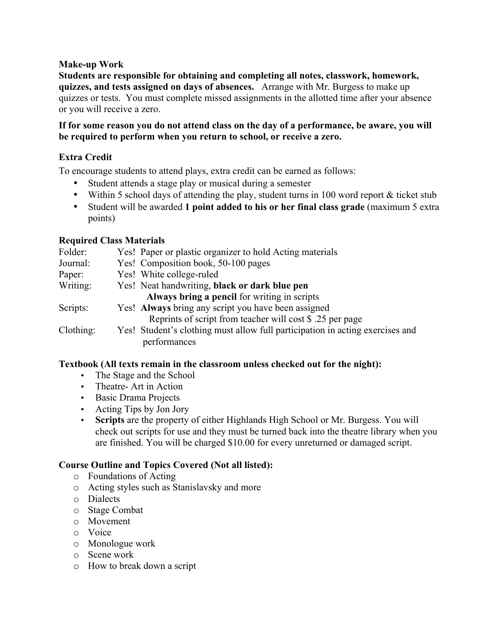#### **Make-up Work**

**Students are responsible for obtaining and completing all notes, classwork, homework, quizzes, and tests assigned on days of absences.** Arrange with Mr. Burgess to make up quizzes or tests. You must complete missed assignments in the allotted time after your absence or you will receive a zero.

#### **If for some reason you do not attend class on the day of a performance, be aware, you will be required to perform when you return to school, or receive a zero.**

## **Extra Credit**

To encourage students to attend plays, extra credit can be earned as follows:

- Student attends a stage play or musical during a semester
- Within 5 school days of attending the play, student turns in 100 word report & ticket stub
- Student will be awarded **1 point added to his or her final class grade** (maximum 5 extra points)

## **Required Class Materials**

| Yes! Paper or plastic organizer to hold Acting materials                                      |
|-----------------------------------------------------------------------------------------------|
| Yes! Composition book, 50-100 pages                                                           |
| Yes! White college-ruled                                                                      |
| Yes! Neat handwriting, black or dark blue pen                                                 |
| Always bring a pencil for writing in scripts                                                  |
| Yes! Always bring any script you have been assigned                                           |
| Reprints of script from teacher will cost \$ .25 per page                                     |
| Yes! Student's clothing must allow full participation in acting exercises and<br>performances |
|                                                                                               |

#### **Textbook (All texts remain in the classroom unless checked out for the night):**

- The Stage and the School
- Theatre- Art in Action
- Basic Drama Projects
- Acting Tips by Jon Jory
- **Scripts** are the property of either Highlands High School or Mr. Burgess. You will check out scripts for use and they must be turned back into the theatre library when you are finished. You will be charged \$10.00 for every unreturned or damaged script.

## **Course Outline and Topics Covered (Not all listed):**

- o Foundations of Acting
- o Acting styles such as Stanislavsky and more
- o Dialects
- o Stage Combat
- o Movement
- o Voice
- o Monologue work
- o Scene work
- o How to break down a script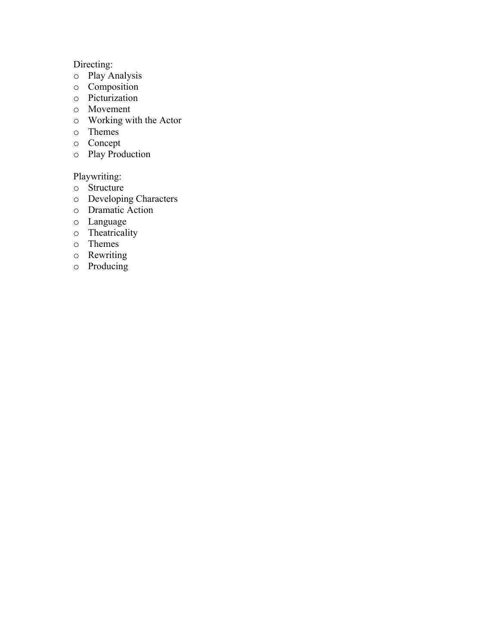# Directing:

- o Play Analysis
- o Composition
- o Picturization
- o Movement
- o Working with the Actor
- o Themes
- o Concept
- o Play Production

Playwriting:

- o Structure
- o Developing Characters
- o Dramatic Action
- o Language
- o Theatricality
- o Themes
- o Rewriting
- o Producing